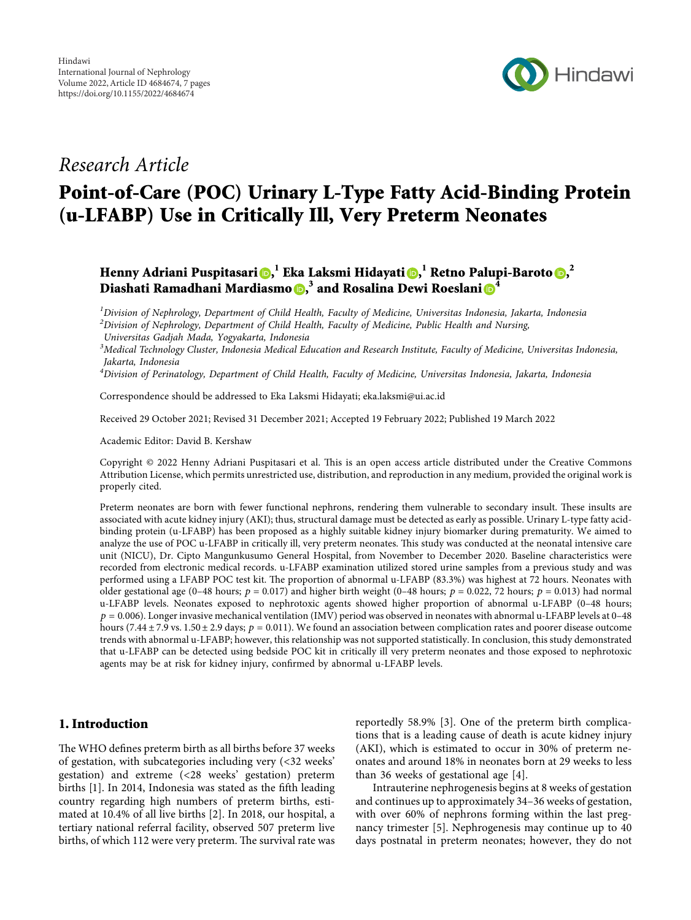

## *Research Article*

# **Point-of-Care (POC) Urinary L-Type Fatty Acid-Binding Protein (u-LFABP) Use in Critically Ill, Very Preterm Neonates**

**Henny Adriani Puspitasari [,](https://orcid.org/0000-0003-2666-6671) <sup>1</sup> Eka Laksmi Hidayati [,](https://orcid.org/0000-0003-2896-3645) <sup>1</sup> Retno Palupi-Baroto , 2 Diashati Ramadhani Mardiasmo , <sup>3</sup> and Rosalina Dewi Roeslani [4](https://orcid.org/0000-0002-9461-1069)**

*1 Division of Nephrology, Department of Child Health, Faculty of Medicine, Universitas Indonesia, Jakarta, Indonesia 2 Division of Nephrology, Department of Child Health, Faculty of Medicine, Public Health and Nursing, Universitas Gadjah Mada, Yogyakarta, Indonesia*

*3 Medical Technology Cluster, Indonesia Medical Education and Research Institute, Faculty of Medicine, Universitas Indonesia, Jakarta, Indonesia*

*4 Division of Perinatology, Department of Child Health, Faculty of Medicine, Universitas Indonesia, Jakarta, Indonesia*

Correspondence should be addressed to Eka Laksmi Hidayati; [eka.laksmi@ui.ac.id](mailto:eka.laksmi@ui.ac.id)

Received 29 October 2021; Revised 31 December 2021; Accepted 19 February 2022; Published 19 March 2022

Academic Editor: David B. Kershaw

Copyright © 2022 Henny Adriani Puspitasari et al. This is an open access article distributed under the [Creative Commons](https://creativecommons.org/licenses/by/4.0/) [Attribution License](https://creativecommons.org/licenses/by/4.0/), which permits unrestricted use, distribution, and reproduction in any medium, provided the original work is properly cited.

Preterm neonates are born with fewer functional nephrons, rendering them vulnerable to secondary insult. These insults are associated with acute kidney injury (AKI); thus, structural damage must be detected as early as possible. Urinary L-type fatty acidbinding protein (u-LFABP) has been proposed as a highly suitable kidney injury biomarker during prematurity. We aimed to analyze the use of POC u-LFABP in critically ill, very preterm neonates. This study was conducted at the neonatal intensive care unit (NICU), Dr. Cipto Mangunkusumo General Hospital, from November to December 2020. Baseline characteristics were recorded from electronic medical records. u-LFABP examination utilized stored urine samples from a previous study and was performed using a LFABP POC test kit. The proportion of abnormal u-LFABP (83.3%) was highest at 72 hours. Neonates with older gestational age (0–48 hours;  $p = 0.017$ ) and higher birth weight (0–48 hours;  $p = 0.022$ , 72 hours;  $p = 0.013$ ) had normal u-LFABP levels. Neonates exposed to nephrotoxic agents showed higher proportion of abnormal u-LFABP (0–48 hours;  $p = 0.006$ ). Longer invasive mechanical ventilation (IMV) period was observed in neonates with abnormal u-LFABP levels at 0–48 hours (7.44  $\pm$  7.9 vs. 1.50  $\pm$  2.9 days;  $p = 0.011$ ). We found an association between complication rates and poorer disease outcome trends with abnormal u-LFABP; however, this relationship was not supported statistically. In conclusion, this study demonstrated that u-LFABP can be detected using bedside POC kit in critically ill very preterm neonates and those exposed to nephrotoxic agents may be at risk for kidney injury, confirmed by abnormal u-LFABP levels.

## **1. Introduction**

The WHO defines preterm birth as all births before 37 weeks of gestation, with subcategories including very (<32 weeks' gestation) and extreme (<28 weeks' gestation) preterm births [[1](#page-5-0)]. In 2014, Indonesia was stated as the fifth leading country regarding high numbers of preterm births, estimated at 10.4% of all live births [[2\]](#page-5-0). In 2018, our hospital, a tertiary national referral facility, observed 507 preterm live births, of which 112 were very preterm. The survival rate was

reportedly 58.9% [[3\]](#page-5-0). One of the preterm birth complications that is a leading cause of death is acute kidney injury (AKI), which is estimated to occur in 30% of preterm neonates and around 18% in neonates born at 29 weeks to less than 36 weeks of gestational age [\[4](#page-5-0)].

Intrauterine nephrogenesis begins at 8 weeks of gestation and continues up to approximately 34–36 weeks of gestation, with over 60% of nephrons forming within the last pregnancy trimester [\[5](#page-5-0)]. Nephrogenesis may continue up to 40 days postnatal in preterm neonates; however, they do not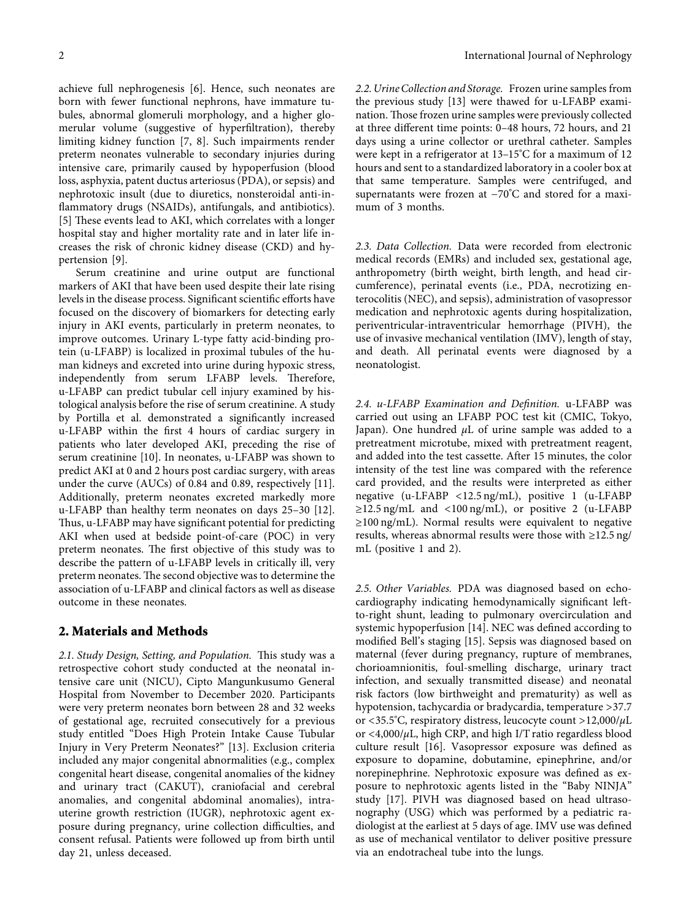achieve full nephrogenesis [\[6](#page-5-0)]. Hence, such neonates are born with fewer functional nephrons, have immature tubules, abnormal glomeruli morphology, and a higher glomerular volume (suggestive of hyperfiltration), thereby limiting kidney function [[7, 8\]](#page-6-0). Such impairments render preterm neonates vulnerable to secondary injuries during intensive care, primarily caused by hypoperfusion (blood loss, asphyxia, patent ductus arteriosus (PDA), or sepsis) and nephrotoxic insult (due to diuretics, nonsteroidal anti-inflammatory drugs (NSAIDs), antifungals, and antibiotics). [\[5](#page-5-0)] These events lead to AKI, which correlates with a longer hospital stay and higher mortality rate and in later life increases the risk of chronic kidney disease (CKD) and hypertension [\[9](#page-6-0)].

Serum creatinine and urine output are functional markers of AKI that have been used despite their late rising levels in the disease process. Significant scientific efforts have focused on the discovery of biomarkers for detecting early injury in AKI events, particularly in preterm neonates, to improve outcomes. Urinary L-type fatty acid-binding protein (u-LFABP) is localized in proximal tubules of the human kidneys and excreted into urine during hypoxic stress, independently from serum LFABP levels. Therefore, u-LFABP can predict tubular cell injury examined by histological analysis before the rise of serum creatinine. A study by Portilla et al. demonstrated a significantly increased u-LFABP within the first 4 hours of cardiac surgery in patients who later developed AKI, preceding the rise of serum creatinine [\[10](#page-6-0)]. In neonates, u-LFABP was shown to predict AKI at 0 and 2 hours post cardiac surgery, with areas under the curve (AUCs) of 0.84 and 0.89, respectively [\[11](#page-6-0)]. Additionally, preterm neonates excreted markedly more u-LFABP than healthy term neonates on days 25–30 [\[12](#page-6-0)]. Thus, u-LFABP may have significant potential for predicting AKI when used at bedside point-of-care (POC) in very preterm neonates. The first objective of this study was to describe the pattern of u-LFABP levels in critically ill, very preterm neonates. The second objective was to determine the association of u-LFABP and clinical factors as well as disease outcome in these neonates.

## **2. Materials and Methods**

2.1. Study Design, Setting, and Population. This study was a retrospective cohort study conducted at the neonatal intensive care unit (NICU), Cipto Mangunkusumo General Hospital from November to December 2020. Participants were very preterm neonates born between 28 and 32 weeks of gestational age, recruited consecutively for a previous study entitled "Does High Protein Intake Cause Tubular Injury in Very Preterm Neonates?" [[13\]](#page-6-0). Exclusion criteria included any major congenital abnormalities (e.g., complex congenital heart disease, congenital anomalies of the kidney and urinary tract (CAKUT), craniofacial and cerebral anomalies, and congenital abdominal anomalies), intrauterine growth restriction (IUGR), nephrotoxic agent exposure during pregnancy, urine collection difficulties, and consent refusal. Patients were followed up from birth until day 21, unless deceased.

*2.2. Urine Collection and Storage.* Frozen urine samples from the previous study [[13\]](#page-6-0) were thawed for u-LFABP examination. Those frozen urine samples were previously collected at three different time points: 0–48 hours, 72 hours, and 21 days using a urine collector or urethral catheter. Samples were kept in a refrigerator at 13–15°C for a maximum of 12 hours and sent to a standardized laboratory in a cooler box at that same temperature. Samples were centrifuged, and supernatants were frozen at −70°C and stored for a maximum of 3 months.

*2.3. Data Collection.* Data were recorded from electronic medical records (EMRs) and included sex, gestational age, anthropometry (birth weight, birth length, and head circumference), perinatal events (i.e., PDA, necrotizing enterocolitis (NEC), and sepsis), administration of vasopressor medication and nephrotoxic agents during hospitalization, periventricular-intraventricular hemorrhage (PIVH), the use of invasive mechanical ventilation (IMV), length of stay, and death. All perinatal events were diagnosed by a neonatologist.

*2.4. u-LFABP Examination and Definition.* u-LFABP was carried out using an LFABP POC test kit (CMIC, Tokyo, Japan). One hundred *μ*L of urine sample was added to a pretreatment microtube, mixed with pretreatment reagent, and added into the test cassette. After 15 minutes, the color intensity of the test line was compared with the reference card provided, and the results were interpreted as either negative (u-LFABP <12.5 ng/mL), positive 1 (u-LFABP  $\geq$ 12.5 ng/mL and <100 ng/mL), or positive 2 (u-LFABP ≥100 ng/mL). Normal results were equivalent to negative results, whereas abnormal results were those with ≥12.5 ng/ mL (positive 1 and 2).

*2.5. Other Variables.* PDA was diagnosed based on echocardiography indicating hemodynamically significant leftto-right shunt, leading to pulmonary overcirculation and systemic hypoperfusion [[14](#page-6-0)]. NEC was defined according to modified Bell's staging [[15\]](#page-6-0). Sepsis was diagnosed based on maternal (fever during pregnancy, rupture of membranes, chorioamnionitis, foul-smelling discharge, urinary tract infection, and sexually transmitted disease) and neonatal risk factors (low birthweight and prematurity) as well as hypotension, tachycardia or bradycardia, temperature >37.7 or <35.5°C, respiratory distress, leucocyte count >12,000/*µ*L or <4,000/*µ*L, high CRP, and high I/T ratio regardless blood culture result [[16\]](#page-6-0). Vasopressor exposure was defined as exposure to dopamine, dobutamine, epinephrine, and/or norepinephrine. Nephrotoxic exposure was defined as exposure to nephrotoxic agents listed in the "Baby NINJA" study [[17\]](#page-6-0). PIVH was diagnosed based on head ultrasonography (USG) which was performed by a pediatric radiologist at the earliest at 5 days of age. IMV use was defined as use of mechanical ventilator to deliver positive pressure via an endotracheal tube into the lungs.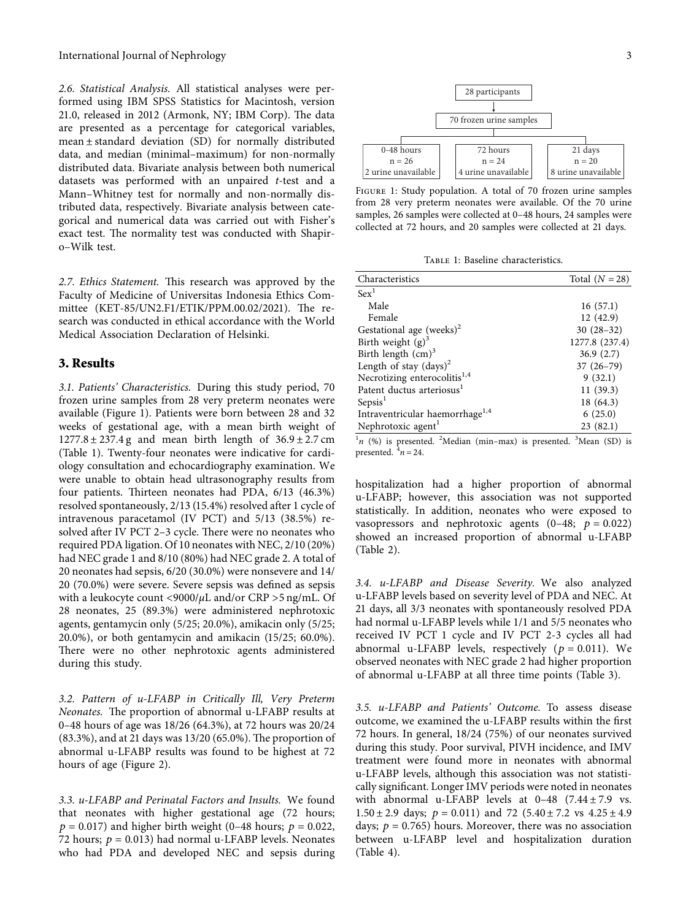<span id="page-2-0"></span>*2.6. Statistical Analysis.* All statistical analyses were performed using IBM SPSS Statistics for Macintosh, version 21.0, released in 2012 (Armonk, NY; IBM Corp). The data are presented as a percentage for categorical variables, mean ± standard deviation (SD) for normally distributed data, and median (minimal–maximum) for non-normally distributed data. Bivariate analysis between both numerical datasets was performed with an unpaired *t*-test and a Mann–Whitney test for normally and non-normally distributed data, respectively. Bivariate analysis between categorical and numerical data was carried out with Fisher's exact test. The normality test was conducted with Shapiro–Wilk test.

2.7. Ethics Statement. This research was approved by the Faculty of Medicine of Universitas Indonesia Ethics Committee (KET-85/UN2.F1/ETIK/PPM.00.02/2021). The research was conducted in ethical accordance with the World Medical Association Declaration of Helsinki.

## **3. Results**

*3.1. Patients' Characteristics.* During this study period, 70 frozen urine samples from 28 very preterm neonates were available (Figure 1). Patients were born between 28 and 32 weeks of gestational age, with a mean birth weight of  $1277.8 \pm 237.4$  g and mean birth length of  $36.9 \pm 2.7$  cm (Table 1). Twenty-four neonates were indicative for cardiology consultation and echocardiography examination. We were unable to obtain head ultrasonography results from four patients. Thirteen neonates had PDA, 6/13 (46.3%) resolved spontaneously, 2/13 (15.4%) resolved after 1 cycle of intravenous paracetamol (IV PCT) and 5/13 (38.5%) resolved after IV PCT 2-3 cycle. There were no neonates who required PDA ligation. Of 10 neonates with NEC, 2/10 (20%) had NEC grade 1 and 8/10 (80%) had NEC grade 2. A total of 20 neonates had sepsis, 6/20 (30.0%) were nonsevere and 14/ 20 (70.0%) were severe. Severe sepsis was defined as sepsis with a leukocyte count <9000/*µ*L and/or CRP >5 ng/mL. Of 28 neonates, 25 (89.3%) were administered nephrotoxic agents, gentamycin only (5/25; 20.0%), amikacin only (5/25; 20.0%), or both gentamycin and amikacin (15/25; 60.0%). There were no other nephrotoxic agents administered during this study.

*3.2. Pattern of u-LFABP in Critically Ill, Very Preterm Neonates.* The proportion of abnormal u-LFABP results at 0–48 hours of age was 18/26 (64.3%), at 72 hours was 20/24  $(83.3\%)$ , and at 21 days was  $13/20$   $(65.0\%)$ . The proportion of abnormal u-LFABP results was found to be highest at 72 hours of age (Figure [2\)](#page-3-0).

*3.3. u-LFABP and Perinatal Factors and Insults.* We found that neonates with higher gestational age (72 hours;  $p = 0.017$ ) and higher birth weight (0–48 hours;  $p = 0.022$ , 72 hours;  $p = 0.013$ ) had normal u-LFABP levels. Neonates who had PDA and developed NEC and sepsis during



FIGURE 1: Study population. A total of 70 frozen urine samples from 28 very preterm neonates were available. Of the 70 urine samples, 26 samples were collected at 0–48 hours, 24 samples were collected at 72 hours, and 20 samples were collected at 21 days.

TABLE 1: Baseline characteristics.

| Characteristics                             | Total $(N = 28)$ |
|---------------------------------------------|------------------|
| Sex <sup>1</sup>                            |                  |
| Male                                        | 16(57.1)         |
| Female                                      | 12(42.9)         |
| Gestational age (weeks) <sup>2</sup>        | $30(28-32)$      |
| Birth weight $(g)^3$                        | 1277.8 (237.4)   |
| Birth length $(cm)^3$                       | 36.9(2.7)        |
| Length of stay $\text{(days)}^2$            | $37(26-79)$      |
| Necrotizing enterocolitis <sup>1,4</sup>    | 9(32.1)          |
| Patent ductus arteriosus <sup>1</sup>       | 11(39.3)         |
| Sepsis <sup>1</sup>                         | 18 (64.3)        |
| Intraventricular haemorrhage <sup>1,4</sup> | 6(25.0)          |
| Nephrotoxic agent <sup>1</sup>              | 23(82.1)         |
|                                             |                  |

 $n$  (%) is presented. <sup>2</sup>Median (min-max) is presented. <sup>3</sup>Mean (SD) is presented.  $\frac{4}{n}$  *n* = 24.

hospitalization had a higher proportion of abnormal u-LFABP; however, this association was not supported statistically. In addition, neonates who were exposed to vasopressors and nephrotoxic agents  $(0-48; p = 0.022)$ showed an increased proportion of abnormal u-LFABP (Table [2\)](#page-3-0).

*3.4. u-LFABP and Disease Severity.* We also analyzed u-LFABP levels based on severity level of PDA and NEC. At 21 days, all 3/3 neonates with spontaneously resolved PDA had normal u-LFABP levels while 1/1 and 5/5 neonates who received IV PCT 1 cycle and IV PCT 2-3 cycles all had abnormal u-LFABP levels, respectively  $(p = 0.011)$ . We observed neonates with NEC grade 2 had higher proportion of abnormal u-LFABP at all three time points (Table [3\)](#page-4-0).

*3.5. u-LFABP and Patients' Outcome.* To assess disease outcome, we examined the u-LFABP results within the first 72 hours. In general, 18/24 (75%) of our neonates survived during this study. Poor survival, PIVH incidence, and IMV treatment were found more in neonates with abnormal u-LFABP levels, although this association was not statistically significant. Longer IMV periods were noted in neonates with abnormal u-LFABP levels at  $0-48$  (7.44  $\pm$  7.9 vs.  $1.50 \pm 2.9$  days;  $p = 0.011$ ) and 72  $(5.40 \pm 7.2 \text{ vs } 4.25 \pm 4.9$ days;  $p = 0.765$ ) hours. Moreover, there was no association between u-LFABP level and hospitalization duration (Table [4\)](#page-4-0).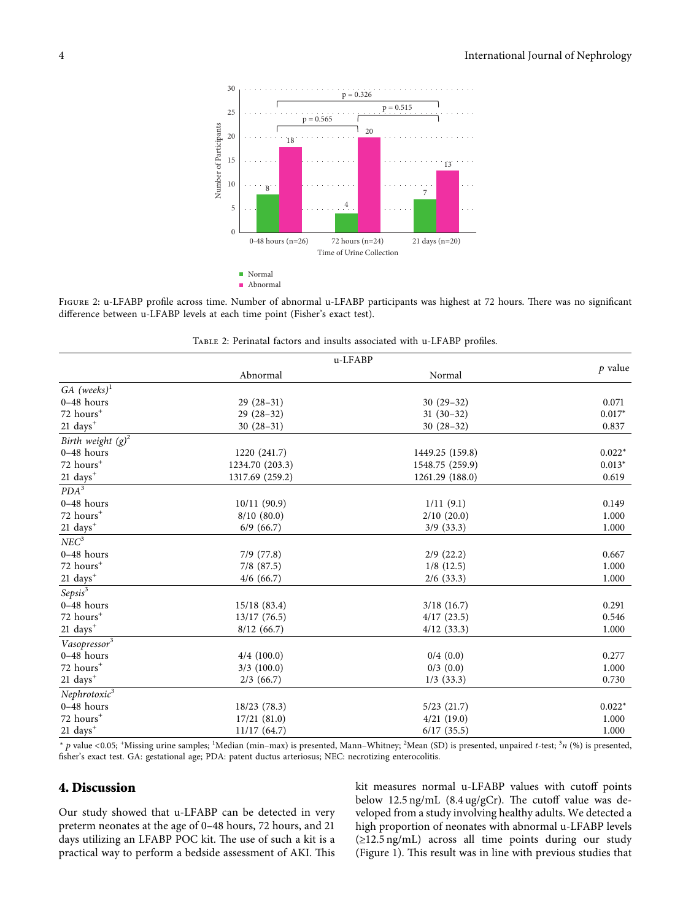<span id="page-3-0"></span>

FIGURE 2: u-LFABP profile across time. Number of abnormal u-LFABP participants was highest at 72 hours. There was no significant difference between u-LFABP levels at each time point (Fisher's exact test).

|                           | u-LFABP         |                 |           |
|---------------------------|-----------------|-----------------|-----------|
|                           | Abnormal        | Normal          | $p$ value |
| $GA$ (weeks) <sup>1</sup> |                 |                 |           |
| $0-48$ hours              | $29(28-31)$     | $30(29-32)$     | 0.071     |
| 72 hours <sup>+</sup>     | $29(28-32)$     | $31(30-32)$     | $0.017*$  |
| $21 \text{ days}^+$       | $30(28-31)$     | $30(28-32)$     | 0.837     |
| Birth weight $(g)^2$      |                 |                 |           |
| $0-48$ hours              | 1220 (241.7)    | 1449.25 (159.8) | $0.022*$  |
| 72 hours <sup>+</sup>     | 1234.70 (203.3) | 1548.75 (259.9) | $0.013*$  |
| 21 days <sup>+</sup>      | 1317.69 (259.2) | 1261.29 (188.0) | 0.619     |
| $PDA^3$                   |                 |                 |           |
| $0-48$ hours              | 10/11(90.9)     | 1/11(9.1)       | 0.149     |
| 72 hours <sup>+</sup>     | 8/10(80.0)      | 2/10(20.0)      | 1.000     |
| $21~\mathrm{days}^+$      | 6/9(66.7)       | $3/9$ (33.3)    | 1.000     |
| NEC <sup>3</sup>          |                 |                 |           |
| $0-48$ hours              | $7/9$ $(77.8)$  | $2/9$ (22.2)    | 0.667     |
| 72 hours <sup>+</sup>     | $7/8$ $(87.5)$  | $1/8$ (12.5)    | 1.000     |
| $21~\mathrm{days}^+$      | $4/6$ (66.7)    | $2/6$ (33.3)    | 1.000     |
| $Sepsis^3$                |                 |                 |           |
| $0-48$ hours              | 15/18(83.4)     | 3/18(16.7)      | 0.291     |
| 72 hours <sup>+</sup>     | 13/17(76.5)     | 4/17(23.5)      | 0.546     |
| $21 \text{ days}^+$       | 8/12(66.7)      | 4/12(33.3)      | 1.000     |
| Vasopressor <sup>3</sup>  |                 |                 |           |
| $0-48$ hours              | $4/4$ (100.0)   | 0/4(0.0)        | 0.277     |
| 72 hours <sup>+</sup>     | $3/3$ (100.0)   | $0/3$ $(0.0)$   | 1.000     |
| $21 \text{ days}^+$       | 2/3(66.7)       | $1/3$ (33.3)    | 0.730     |
| Nephrotoxic <sup>3</sup>  |                 |                 |           |
| $0-48$ hours              | 18/23 (78.3)    | 5/23(21.7)      | $0.022*$  |
| 72 hours <sup>+</sup>     | 17/21(81.0)     | 4/21(19.0)      | 1.000     |
| $21 \text{ days}^+$       | 11/17(64.7)     | 6/17(35.5)      | 1.000     |

Table 2: Perinatal factors and insults associated with u-LFABP profiles.

<sup>∗</sup> *p* value <0.05; <sup>+</sup> Missing urine samples; <sup>1</sup> Median (min–max) is presented, Mann–Whitney; <sup>2</sup> Mean (SD) is presented, unpaired *t*-test; <sup>3</sup> *n* (%) is presented, fisher's exact test. GA: gestational age; PDA: patent ductus arteriosus; NEC: necrotizing enterocolitis.

## **4. Discussion**

Our study showed that u-LFABP can be detected in very preterm neonates at the age of 0–48 hours, 72 hours, and 21 days utilizing an LFABP POC kit. The use of such a kit is a practical way to perform a bedside assessment of AKI. This

kit measures normal u-LFABP values with cutoff points below  $12.5$  ng/mL  $(8.4 \text{ ug/gCr})$ . The cutoff value was developed from a study involving healthy adults. We detected a high proportion of neonates with abnormal u-LFABP levels (≥12.5 ng/mL) across all time points during our study (Figure [1\)](#page-2-0). This result was in line with previous studies that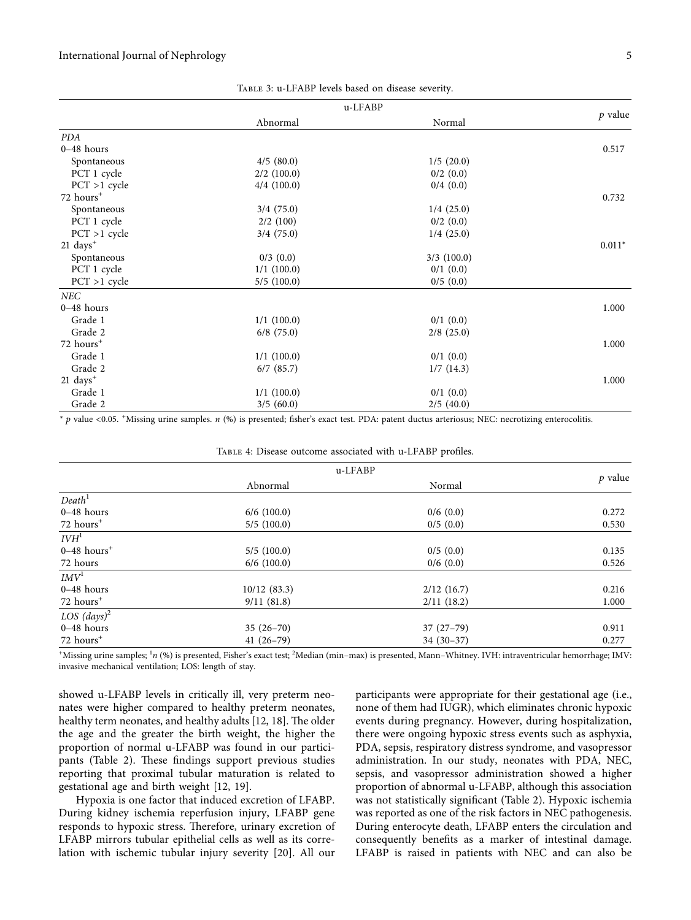<span id="page-4-0"></span>

|                        | u-LFABP        |               |           |
|------------------------|----------------|---------------|-----------|
|                        | Abnormal       | Normal        | $p$ value |
| PDA                    |                |               |           |
| $0-48$ hours           |                |               | 0.517     |
| Spontaneous            | 4/5(80.0)      | 1/5(20.0)     |           |
| PCT 1 cycle            | $2/2$ (100.0)  | $0/2$ $(0.0)$ |           |
| $PCT > 1$ cycle        | $4/4$ (100.0)  | 0/4(0.0)      |           |
| 72 hours <sup>+</sup>  |                |               | 0.732     |
| Spontaneous            | 3/4(75.0)      | 1/4(25.0)     |           |
| PCT 1 cycle            | 2/2(100)       | $0/2$ $(0.0)$ |           |
| $PCT > 1$ cycle        | 3/4(75.0)      | 1/4(25.0)     |           |
| $21 \text{ days}^+$    |                |               | $0.011*$  |
| Spontaneous            | $0/3$ $(0.0)$  | $3/3$ (100.0) |           |
| PCT 1 cycle            | $1/1$ (100.0)  | $0/1$ $(0.0)$ |           |
| $PCT > 1$ cycle        | 5/5(100.0)     | 0/5(0.0)      |           |
| NEC                    |                |               |           |
| $0-48$ hours           |                |               | 1.000     |
| Grade 1                | $1/1$ (100.0)  | $0/1$ $(0.0)$ |           |
| Grade 2                | $6/8$ (75.0)   | $2/8$ (25.0)  |           |
| 72 hours <sup>+</sup>  |                |               | 1.000     |
| Grade 1                | $1/1$ (100.0)  | $0/1$ $(0.0)$ |           |
| Grade 2                | $6/7$ $(85.7)$ | 1/7(14.3)     |           |
| $21$ days <sup>+</sup> |                |               | 1.000     |
| Grade 1                | $1/1$ (100.0)  | $0/1$ $(0.0)$ |           |
| Grade 2                | 3/5(60.0)      | 2/5(40.0)     |           |

| TABLE 3: u-LFABP levels based on disease severity. |  |  |  |
|----------------------------------------------------|--|--|--|
|----------------------------------------------------|--|--|--|

<sup>∗</sup> *p* value <0.05. <sup>+</sup> Missing urine samples. *n* (%) is presented; fisher's exact test. PDA: patent ductus arteriosus; NEC: necrotizing enterocolitis.

Table 4: Disease outcome associated with u-LFABP profiles.

|                           | u-LFABP       |               |           |  |
|---------------------------|---------------|---------------|-----------|--|
|                           | Abnormal      | Normal        | $p$ value |  |
| Death <sup>1</sup>        |               |               |           |  |
| $0-48$ hours              | $6/6$ (100.0) | $0/6$ $(0.0)$ | 0.272     |  |
| 72 hours <sup>+</sup>     | 5/5(100.0)    | 0/5(0.0)      | 0.530     |  |
| I V H <sup>1</sup>        |               |               |           |  |
| $0-48$ hours <sup>+</sup> | 5/5(100.0)    | 0/5(0.0)      | 0.135     |  |
| 72 hours                  | $6/6$ (100.0) | $0/6$ $(0.0)$ | 0.526     |  |
| IMV <sup>1</sup>          |               |               |           |  |
| $0-48$ hours              | 10/12(83.3)   | 2/12(16.7)    | 0.216     |  |
| $72$ hours <sup>+</sup>   | 9/11(81.8)    | 2/11(18.2)    | 1.000     |  |
| LOS $(days)^2$            |               |               |           |  |
| $0-48$ hours              | $35(26-70)$   | $37(27-79)$   | 0.911     |  |
| 72 hours <sup>+</sup>     | $41(26-79)$   | $34(30-37)$   | 0.277     |  |

\*Missing urine samples; <sup>1</sup>n (%) is presented, Fisher's exact test; <sup>2</sup>Median (min–max) is presented, Mann–Whitney. IVH: intraventricular hemorrhage; IMV: invasive mechanical ventilation; LOS: length of stay.

showed u-LFABP levels in critically ill, very preterm neonates were higher compared to healthy preterm neonates, healthy term neonates, and healthy adults [\[12](#page-6-0), [18](#page-6-0)]. The older the age and the greater the birth weight, the higher the proportion of normal u-LFABP was found in our partici-pants (Table [2](#page-3-0)). These findings support previous studies reporting that proximal tubular maturation is related to gestational age and birth weight [[12](#page-6-0), [19](#page-6-0)].

Hypoxia is one factor that induced excretion of LFABP. During kidney ischemia reperfusion injury, LFABP gene responds to hypoxic stress. Therefore, urinary excretion of LFABP mirrors tubular epithelial cells as well as its correlation with ischemic tubular injury severity [\[20\]](#page-6-0). All our

participants were appropriate for their gestational age (i.e., none of them had IUGR), which eliminates chronic hypoxic events during pregnancy. However, during hospitalization, there were ongoing hypoxic stress events such as asphyxia, PDA, sepsis, respiratory distress syndrome, and vasopressor administration. In our study, neonates with PDA, NEC, sepsis, and vasopressor administration showed a higher proportion of abnormal u-LFABP, although this association was not statistically significant (Table [2\)](#page-3-0). Hypoxic ischemia was reported as one of the risk factors in NEC pathogenesis. During enterocyte death, LFABP enters the circulation and consequently benefits as a marker of intestinal damage. LFABP is raised in patients with NEC and can also be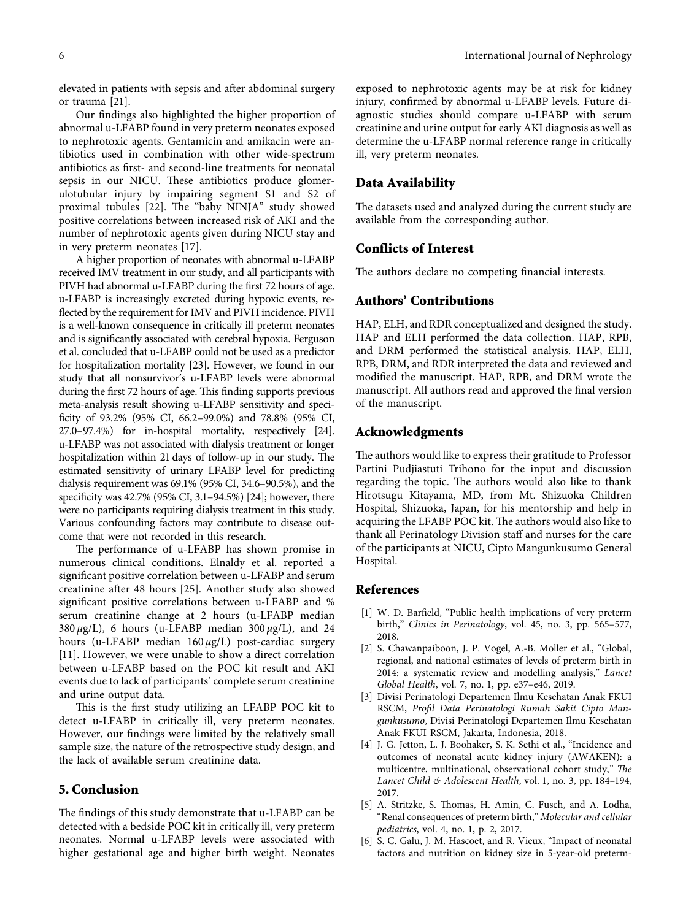<span id="page-5-0"></span>elevated in patients with sepsis and after abdominal surgery or trauma [[21\]](#page-6-0).

Our findings also highlighted the higher proportion of abnormal u-LFABP found in very preterm neonates exposed to nephrotoxic agents. Gentamicin and amikacin were antibiotics used in combination with other wide-spectrum antibiotics as first- and second-line treatments for neonatal sepsis in our NICU. These antibiotics produce glomerulotubular injury by impairing segment S1 and S2 of proximal tubules [\[22](#page-6-0)]. The "baby NINJA" study showed positive correlations between increased risk of AKI and the number of nephrotoxic agents given during NICU stay and in very preterm neonates [[17\]](#page-6-0).

A higher proportion of neonates with abnormal u-LFABP received IMV treatment in our study, and all participants with PIVH had abnormal u-LFABP during the first 72 hours of age. u-LFABP is increasingly excreted during hypoxic events, reflected by the requirement for IMV and PIVH incidence. PIVH is a well-known consequence in critically ill preterm neonates and is significantly associated with cerebral hypoxia. Ferguson et al. concluded that u-LFABP could not be used as a predictor for hospitalization mortality [\[23\]](#page-6-0). However, we found in our study that all nonsurvivor's u-LFABP levels were abnormal during the first 72 hours of age. This finding supports previous meta-analysis result showing u-LFABP sensitivity and specificity of 93.2% (95% CI, 66.2–99.0%) and 78.8% (95% CI, 27.0–97.4%) for in-hospital mortality, respectively [\[24\]](#page-6-0). u-LFABP was not associated with dialysis treatment or longer hospitalization within 21 days of follow-up in our study. The estimated sensitivity of urinary LFABP level for predicting dialysis requirement was 69.1% (95% CI, 34.6–90.5%), and the specificity was 42.7% (95% CI, 3.1–94.5%) [\[24\]](#page-6-0); however, there were no participants requiring dialysis treatment in this study. Various confounding factors may contribute to disease outcome that were not recorded in this research.

The performance of u-LFABP has shown promise in numerous clinical conditions. Elnaldy et al. reported a significant positive correlation between u-LFABP and serum creatinine after 48 hours [[25](#page-6-0)]. Another study also showed significant positive correlations between u-LFABP and % serum creatinine change at 2 hours (u-LFABP median 380 *µ*g/L), 6 hours (u-LFABP median 300 *µ*g/L), and 24 hours (u-LFABP median 160 *µ*g/L) post-cardiac surgery [\[11](#page-6-0)]. However, we were unable to show a direct correlation between u-LFABP based on the POC kit result and AKI events due to lack of participants' complete serum creatinine and urine output data.

This is the first study utilizing an LFABP POC kit to detect u-LFABP in critically ill, very preterm neonates. However, our findings were limited by the relatively small sample size, the nature of the retrospective study design, and the lack of available serum creatinine data.

## **5. Conclusion**

The findings of this study demonstrate that u-LFABP can be detected with a bedside POC kit in critically ill, very preterm neonates. Normal u-LFABP levels were associated with higher gestational age and higher birth weight. Neonates

exposed to nephrotoxic agents may be at risk for kidney injury, confirmed by abnormal u-LFABP levels. Future diagnostic studies should compare u-LFABP with serum creatinine and urine output for early AKI diagnosis as well as determine the u-LFABP normal reference range in critically ill, very preterm neonates.

### **Data Availability**

The datasets used and analyzed during the current study are available from the corresponding author.

#### **Conflicts of Interest**

The authors declare no competing financial interests.

## **Authors' Contributions**

HAP, ELH, and RDR conceptualized and designed the study. HAP and ELH performed the data collection. HAP, RPB, and DRM performed the statistical analysis. HAP, ELH, RPB, DRM, and RDR interpreted the data and reviewed and modified the manuscript. HAP, RPB, and DRM wrote the manuscript. All authors read and approved the final version of the manuscript.

#### **Acknowledgments**

The authors would like to express their gratitude to Professor Partini Pudjiastuti Trihono for the input and discussion regarding the topic. The authors would also like to thank Hirotsugu Kitayama, MD, from Mt. Shizuoka Children Hospital, Shizuoka, Japan, for his mentorship and help in acquiring the LFABP POC kit. The authors would also like to thank all Perinatology Division staff and nurses for the care of the participants at NICU, Cipto Mangunkusumo General Hospital.

#### **References**

- [1] W. D. Barfield, "Public health implications of very preterm birth," *Clinics in Perinatology*, vol. 45, no. 3, pp. 565–577, 2018.
- [2] S. Chawanpaiboon, J. P. Vogel, A.-B. Moller et al., "Global, regional, and national estimates of levels of preterm birth in 2014: a systematic review and modelling analysis," *Lancet Global Health*, vol. 7, no. 1, pp. e37–e46, 2019.
- [3] Divisi Perinatologi Departemen Ilmu Kesehatan Anak FKUI RSCM, *Profil Data Perinatologi Rumah Sakit Cipto Mangunkusumo*, Divisi Perinatologi Departemen Ilmu Kesehatan Anak FKUI RSCM, Jakarta, Indonesia, 2018.
- [4] J. G. Jetton, L. J. Boohaker, S. K. Sethi et al., "Incidence and outcomes of neonatal acute kidney injury (AWAKEN): a multicentre, multinational, observational cohort study," The *Lancet Child & Adolescent Health*, vol. 1, no. 3, pp. 184–194, 2017.
- [5] A. Stritzke, S. Thomas, H. Amin, C. Fusch, and A. Lodha, "Renal consequences of preterm birth," *Molecular and cellular pediatrics*, vol. 4, no. 1, p. 2, 2017.
- [6] S. C. Galu, J. M. Hascoet, and R. Vieux, "Impact of neonatal factors and nutrition on kidney size in 5-year-old preterm-